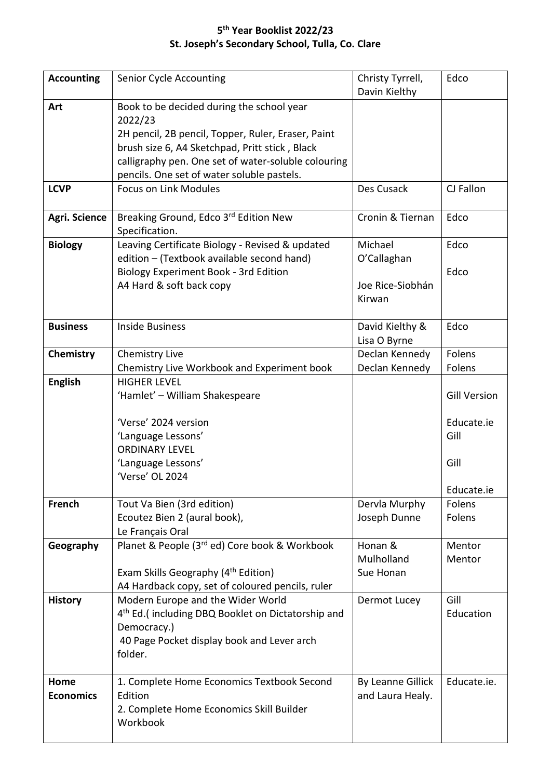## **5 th Year Booklist 2022/23 St. Joseph's Secondary School, Tulla, Co. Clare**

| <b>Accounting</b> | Senior Cycle Accounting                                       | Christy Tyrrell,  | Edco                |
|-------------------|---------------------------------------------------------------|-------------------|---------------------|
|                   |                                                               | Davin Kielthy     |                     |
| Art               | Book to be decided during the school year                     |                   |                     |
|                   | 2022/23                                                       |                   |                     |
|                   | 2H pencil, 2B pencil, Topper, Ruler, Eraser, Paint            |                   |                     |
|                   | brush size 6, A4 Sketchpad, Pritt stick, Black                |                   |                     |
|                   | calligraphy pen. One set of water-soluble colouring           |                   |                     |
|                   | pencils. One set of water soluble pastels.                    |                   |                     |
| <b>LCVP</b>       | <b>Focus on Link Modules</b>                                  | Des Cusack        | CJ Fallon           |
| Agri. Science     | Breaking Ground, Edco 3rd Edition New                         | Cronin & Tiernan  | Edco                |
|                   | Specification.                                                |                   |                     |
| <b>Biology</b>    | Leaving Certificate Biology - Revised & updated               | Michael           | Edco                |
|                   | edition - (Textbook available second hand)                    | O'Callaghan       |                     |
|                   | Biology Experiment Book - 3rd Edition                         |                   | Edco                |
|                   | A4 Hard & soft back copy                                      | Joe Rice-Siobhán  |                     |
|                   |                                                               | Kirwan            |                     |
|                   |                                                               |                   |                     |
| <b>Business</b>   | <b>Inside Business</b>                                        | David Kielthy &   | Edco                |
|                   |                                                               | Lisa O Byrne      |                     |
| Chemistry         | Chemistry Live                                                | Declan Kennedy    | Folens              |
|                   | Chemistry Live Workbook and Experiment book                   | Declan Kennedy    | Folens              |
| <b>English</b>    | <b>HIGHER LEVEL</b>                                           |                   |                     |
|                   | 'Hamlet' - William Shakespeare                                |                   | <b>Gill Version</b> |
|                   |                                                               |                   |                     |
|                   | 'Verse' 2024 version                                          |                   | Educate.ie          |
|                   | 'Language Lessons'                                            |                   | Gill                |
|                   | <b>ORDINARY LEVEL</b>                                         |                   |                     |
|                   | 'Language Lessons'                                            |                   | Gill                |
|                   | 'Verse' OL 2024                                               |                   |                     |
|                   |                                                               |                   | Educate.ie          |
| French            | Tout Va Bien (3rd edition)                                    | Dervla Murphy     | Folens              |
|                   | Ecoutez Bien 2 (aural book),                                  | Joseph Dunne      | Folens              |
|                   | Le Français Oral                                              |                   |                     |
| Geography         | Planet & People (3rd ed) Core book & Workbook                 | Honan &           | Mentor              |
|                   |                                                               | Mulholland        | Mentor              |
|                   | Exam Skills Geography (4 <sup>th</sup> Edition)               | Sue Honan         |                     |
|                   | A4 Hardback copy, set of coloured pencils, ruler              |                   |                     |
| <b>History</b>    | Modern Europe and the Wider World                             | Dermot Lucey      | Gill                |
|                   | 4 <sup>th</sup> Ed.(including DBQ Booklet on Dictatorship and |                   | Education           |
|                   | Democracy.)                                                   |                   |                     |
|                   | 40 Page Pocket display book and Lever arch                    |                   |                     |
|                   | folder.                                                       |                   |                     |
| Home              | 1. Complete Home Economics Textbook Second                    | By Leanne Gillick | Educate.ie.         |
| <b>Economics</b>  | Edition                                                       | and Laura Healy.  |                     |
|                   | 2. Complete Home Economics Skill Builder                      |                   |                     |
|                   | Workbook                                                      |                   |                     |
|                   |                                                               |                   |                     |